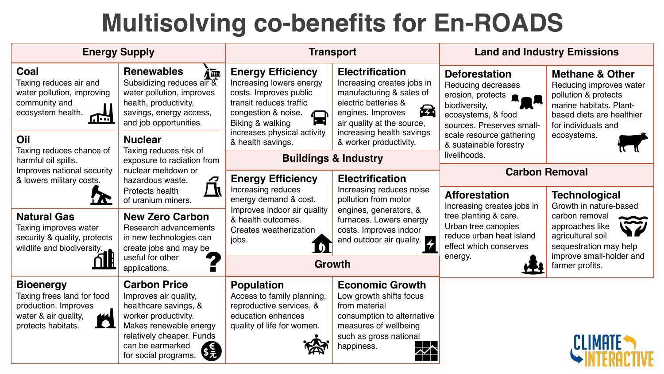## **Multisolving co-benefits for En-ROADS**

| <b>Energy Supply</b>                                                                                                                                                                                                          |                                                                                                                                                                                                                                                                                                                            | <b>Transport</b>                                                                                                                                                                                                     |                                                                                                                                                                                                      | <b>Land and Industry Emissions</b>                                                                                                  |                                                                                                                                                              |
|-------------------------------------------------------------------------------------------------------------------------------------------------------------------------------------------------------------------------------|----------------------------------------------------------------------------------------------------------------------------------------------------------------------------------------------------------------------------------------------------------------------------------------------------------------------------|----------------------------------------------------------------------------------------------------------------------------------------------------------------------------------------------------------------------|------------------------------------------------------------------------------------------------------------------------------------------------------------------------------------------------------|-------------------------------------------------------------------------------------------------------------------------------------|--------------------------------------------------------------------------------------------------------------------------------------------------------------|
| Coal<br>Taxing reduces air and<br>water pollution, improving<br>community and<br>ecosystem health.<br>╓┄                                                                                                                      | <b>Renewables</b><br>im<br>Subsidizing reduces $\widehat{\text{air } 8}$<br>water pollution, improves<br>health, productivity,<br>savings, energy access,<br>and job opportunities.                                                                                                                                        | <b>Energy Efficiency</b><br>Increasing lowers energy<br>costs. Improves public<br>transit reduces traffic<br>congestion & noise.<br>按<br>$\overline{\phantom{a}}$<br>Biking & walking<br>increases physical activity | <b>Electrification</b><br>Increasing creates jobs in<br>manufacturing & sales of<br>electric batteries &<br>承<br>engines. Improves<br>air quality at the source,<br>increasing health savings        | <b>Deforestation</b><br>Reducing decreases<br>erosion, protects<br>biodiversity,<br>ecosystems, & food<br>sources. Preserves small- | <b>Methane &amp; Other</b><br>Reducing improves water<br>pollution & protects<br>marine habitats. Plant-<br>based diets are healthier<br>for individuals and |
| Oil<br>Taxing reduces chance of<br>harmful oil spills.<br>Improves national security<br>& lowers military costs.<br><b>Natural Gas</b><br>Taxing improves water<br>security & quality, protects<br>wildlife and biodiversity. | <b>Nuclear</b><br>Taxing reduces risk of<br>exposure to radiation from<br>nuclear meltdown or<br>Ø<br>hazardous waste.<br>/ N<br>Protects health<br>of uranium miners.<br><b>New Zero Carbon</b><br><b>Research advancements</b><br>in new technologies can<br>create jobs and may be<br>useful for other<br>applications. | & health savings.                                                                                                                                                                                                    | & worker productivity.                                                                                                                                                                               | scale resource gathering<br>& sustainable forestry<br>livelihoods.                                                                  | ecosystems.                                                                                                                                                  |
|                                                                                                                                                                                                                               |                                                                                                                                                                                                                                                                                                                            | <b>Buildings &amp; Industry</b>                                                                                                                                                                                      |                                                                                                                                                                                                      |                                                                                                                                     |                                                                                                                                                              |
|                                                                                                                                                                                                                               |                                                                                                                                                                                                                                                                                                                            | <b>Energy Efficiency</b><br>Increasing reduces<br>energy demand & cost.<br>Improves indoor air quality<br>& health outcomes.<br>Creates weatherization<br>jobs.                                                      | <b>Electrification</b><br>Increasing reduces noise<br>pollution from motor<br>engines, generators, &<br>furnaces. Lowers energy<br>costs. Improves indoor<br>and outdoor air quality. $\blacksquare$ | <b>Carbon Removal</b>                                                                                                               |                                                                                                                                                              |
|                                                                                                                                                                                                                               |                                                                                                                                                                                                                                                                                                                            |                                                                                                                                                                                                                      |                                                                                                                                                                                                      | <b>Afforestation</b><br>Increasing creates jobs in                                                                                  | <b>Technological</b><br>Growth in nature-based                                                                                                               |
|                                                                                                                                                                                                                               |                                                                                                                                                                                                                                                                                                                            |                                                                                                                                                                                                                      |                                                                                                                                                                                                      | tree planting & care.<br>Urban tree canopies<br>reduce urban heat island<br>effect which conserves                                  | carbon removal<br>approaches like<br>agricultural soil<br>sequestration may help                                                                             |
|                                                                                                                                                                                                                               |                                                                                                                                                                                                                                                                                                                            | <b>Growth</b>                                                                                                                                                                                                        |                                                                                                                                                                                                      | energy.                                                                                                                             | improve small-holder and<br>farmer profits.                                                                                                                  |
| <b>Bioenergy</b><br>Taxing frees land for food<br>production. Improves<br>water & air quality,<br>444<br>T O<br>protects habitats.                                                                                            | <b>Carbon Price</b><br>Improves air quality,<br>healthcare savings, &<br>worker productivity.<br>Makes renewable energy<br>relatively cheaper. Funds<br>can be earmarked<br>for social programs.                                                                                                                           | <b>Population</b><br>Access to family planning,<br>reproductive services, &<br>education enhances<br>quality of life for women.                                                                                      | <b>Economic Growth</b><br>Low growth shifts focus<br>from material<br>consumption to alternative<br>measures of wellbeing<br>such as gross national<br>happiness.                                    |                                                                                                                                     |                                                                                                                                                              |